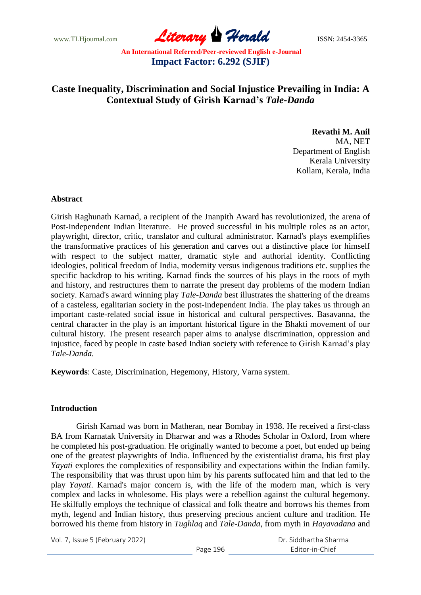www.TLHjournal.com **Literary Herald Herald ISSN: 2454-3365** 

# **Caste Inequality, Discrimination and Social Injustice Prevailing in India: A Contextual Study of Girish Karnad's** *Tale-Danda*

### **Revathi M. Anil** MA, NET Department of English Kerala University Kollam, Kerala, India

### **Abstract**

Girish Raghunath Karnad, a recipient of the Jnanpith Award has revolutionized, the arena of Post-Independent Indian literature. He proved successful in his multiple roles as an actor, playwright, director, critic, translator and cultural administrator. Karnad's plays exemplifies the transformative practices of his generation and carves out a distinctive place for himself with respect to the subject matter, dramatic style and authorial identity. Conflicting ideologies, political freedom of India, modernity versus indigenous traditions etc. supplies the specific backdrop to his writing. Karnad finds the sources of his plays in the roots of myth and history, and restructures them to narrate the present day problems of the modern Indian society. Karnad's award winning play *Tale-Danda* best illustrates the shattering of the dreams of a casteless, egalitarian society in the post-Independent India. The play takes us through an important caste-related social issue in historical and cultural perspectives. Basavanna, the central character in the play is an important historical figure in the Bhakti movement of our cultural history. The present research paper aims to analyse discrimination, oppression and injustice, faced by people in caste based Indian society with reference to Girish Karnad's play *Tale-Danda.*

**Keywords**: Caste, Discrimination, Hegemony, History, Varna system.

## **Introduction**

Girish Karnad was born in Matheran, near Bombay in 1938. He received a first-class BA from Karnatak University in Dharwar and was a Rhodes Scholar in Oxford, from where he completed his post-graduation. He originally wanted to become a poet, but ended up being one of the greatest playwrights of India. Influenced by the existentialist drama, his first play *Yayati* explores the complexities of responsibility and expectations within the Indian family. The responsibility that was thrust upon him by his parents suffocated him and that led to the play *Yayati*. Karnad's major concern is, with the life of the modern man, which is very complex and lacks in wholesome. His plays were a rebellion against the cultural hegemony. He skilfully employs the technique of classical and folk theatre and borrows his themes from myth, legend and Indian history, thus preserving precious ancient culture and tradition. He borrowed his theme from history in *Tughlaq* and *Tale-Danda*, from myth in *Hayavadana* and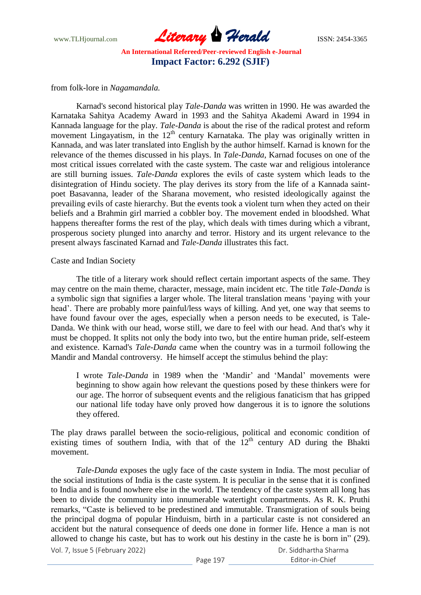www.TLHjournal.com **Literary Herald ISSN: 2454-3365** 

from folk-lore in *Nagamandala.*

Karnad's second historical play *Tale-Danda* was written in 1990. He was awarded the Karnataka Sahitya Academy Award in 1993 and the Sahitya Akademi Award in 1994 in Kannada language for the play. *Tale-Danda* is about the rise of the radical protest and reform movement Lingayatism, in the  $12<sup>th</sup>$  century Karnataka. The play was originally written in Kannada, and was later translated into English by the author himself. Karnad is known for the relevance of the themes discussed in his plays. In *Tale-Danda*, Karnad focuses on one of the most critical issues correlated with the caste system. The caste war and religious intolerance are still burning issues. *Tale-Danda* explores the evils of caste system which leads to the disintegration of Hindu society. The play derives its story from the life of a Kannada saintpoet Basavanna, leader of the Sharana movement, who resisted ideologically against the prevailing evils of caste hierarchy. But the events took a violent turn when they acted on their beliefs and a Brahmin girl married a cobbler boy. The movement ended in bloodshed. What happens thereafter forms the rest of the play, which deals with times during which a vibrant, prosperous society plunged into anarchy and terror. History and its urgent relevance to the present always fascinated Karnad and *Tale-Danda* illustrates this fact.

### Caste and Indian Society

The title of a literary work should reflect certain important aspects of the same. They may centre on the main theme, character, message, main incident etc. The title *Tale-Danda* is a symbolic sign that signifies a larger whole. The literal translation means "paying with your head". There are probably more painful/less ways of killing. And yet, one way that seems to have found favour over the ages, especially when a person needs to be executed, is Tale-Danda. We think with our head, worse still, we dare to feel with our head. And that's why it must be chopped. It splits not only the body into two, but the entire human pride, self-esteem and existence. Karnad's *Tale-Danda* came when the country was in a turmoil following the Mandir and Mandal controversy. He himself accept the stimulus behind the play:

I wrote *Tale-Danda* in 1989 when the "Mandir" and "Mandal" movements were beginning to show again how relevant the questions posed by these thinkers were for our age. The horror of subsequent events and the religious fanaticism that has gripped our national life today have only proved how dangerous it is to ignore the solutions they offered.

The play draws parallel between the socio-religious, political and economic condition of existing times of southern India, with that of the  $12<sup>th</sup>$  century AD during the Bhakti movement.

Vol. 7, Issue 5 (February 2022) *Tale-Danda* exposes the ugly face of the caste system in India. The most peculiar of the social institutions of India is the caste system. It is peculiar in the sense that it is confined to India and is found nowhere else in the world. The tendency of the caste system all long has been to divide the community into innumerable watertight compartments. As R. K. Pruthi remarks, "Caste is believed to be predestined and immutable. Transmigration of souls being the principal dogma of popular Hinduism, birth in a particular caste is not considered an accident but the natural consequence of deeds one done in former life. Hence a man is not allowed to change his caste, but has to work out his destiny in the caste he is born in" (29).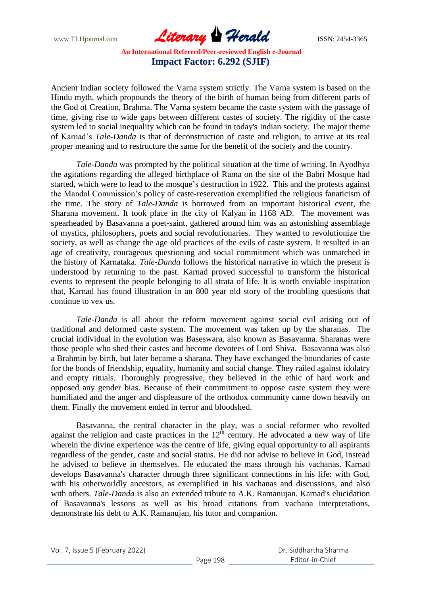www.TLHjournal.com **Literary Herald ISSN: 2454-3365** 

Ancient Indian society followed the Varna system strictly. The Varna system is based on the Hindu myth, which propounds the theory of the birth of human being from different parts of the God of Creation, Brahma. The Varna system became the caste system with the passage of time, giving rise to wide gaps between different castes of society. The rigidity of the caste system led to social inequality which can be found in today's Indian society. The major theme of Karnad"s *Tale-Danda* is that of deconstruction of caste and religion, to arrive at its real proper meaning and to restructure the same for the benefit of the society and the country.

*Tale-Danda* was prompted by the political situation at the time of writing. In Ayodhya the agitations regarding the alleged birthplace of Rama on the site of the Babri Mosque had started, which were to lead to the mosque's destruction in 1922. This and the protests against the Mandal Commission"s policy of caste-reservation exemplified the religious fanaticism of the time. The story of *Tale-Danda* is borrowed from an important historical event, the Sharana movement. It took place in the city of Kalyan in 1168 AD. The movement was spearheaded by Basavanna a poet-saint, gathered around him was an astonishing assemblage of mystics, philosophers, poets and social revolutionaries. They wanted to revolutionize the society, as well as change the age old practices of the evils of caste system. It resulted in an age of creativity, courageous questioning and social commitment which was unmatched in the history of Karnataka. *Tale-Danda* follows the historical narrative in which the present is understood by returning to the past. Karnad proved successful to transform the historical events to represent the people belonging to all strata of life. It is worth enviable inspiration that, Karnad has found illustration in an 800 year old story of the troubling questions that continue to vex us.

*Tale-Danda* is all about the reform movement against social evil arising out of traditional and deformed caste system. The movement was taken up by the sharanas. The crucial individual in the evolution was Baseswara, also known as Basavanna. Sharanas were those people who shed their castes and become devotees of Lord Shiva. Basavanna was also a Brahmin by birth, but later became a sharana. They have exchanged the boundaries of caste for the bonds of friendship, equality, humanity and social change. They railed against idolatry and empty rituals. Thoroughly progressive, they believed in the ethic of hard work and opposed any gender bias. Because of their commitment to oppose caste system they were humiliated and the anger and displeasure of the orthodox community came down heavily on them. Finally the movement ended in terror and bloodshed.

Basavanna, the central character in the play, was a social reformer who revolted against the religion and caste practices in the  $12<sup>th</sup>$  century. He advocated a new way of life wherein the divine experience was the centre of life, giving equal opportunity to all aspirants regardless of the gender, caste and social status. He did not advise to believe in God, instead he advised to believe in themselves. He educated the mass through his vachanas. Karnad develops Basavanna's character through three significant connections in his life: with God, with his otherworldly ancestors, as exemplified in his vachanas and discussions, and also with others. *Tale-Danda* is also an extended tribute to A.K. Ramanujan. Karnad's elucidation of Basavanna's lessons as well as his broad citations from vachana interpretations, demonstrate his debt to A.K. Ramanujan, his tutor and companion.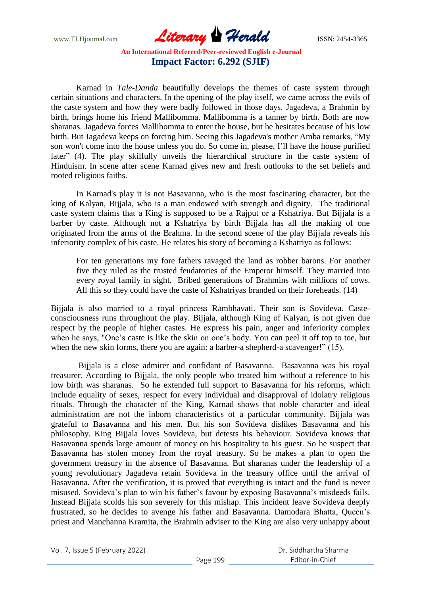www.TLHjournal.com **Literary Herald ISSN: 2454-3365** 

Karnad in *Tale-Danda* beautifully develops the themes of caste system through certain situations and characters. In the opening of the play itself, we came across the evils of the caste system and how they were badly followed in those days. Jagadeva, a Brahmin by birth, brings home his friend Mallibomma. Mallibomma is a tanner by birth. Both are now sharanas. Jagadeva forces Mallibomma to enter the house, but he hesitates because of his low birth. But Jagadeva keeps on forcing him. Seeing this Jagadeva's mother Amba remarks, "My son won't come into the house unless you do. So come in, please, I"ll have the house purified later" (4). The play skilfully unveils the hierarchical structure in the caste system of Hinduism. In scene after scene Karnad gives new and fresh outlooks to the set beliefs and rooted religious faiths.

In Karnad's play it is not Basavanna, who is the most fascinating character, but the king of Kalyan, Bijjala, who is a man endowed with strength and dignity. The traditional caste system claims that a King is supposed to be a Rajput or a Kshatriya. But Bijjala is a barber by caste. Although not a Kshatriya by birth Bijjala has all the making of one originated from the arms of the Brahma. In the second scene of the play Bijjala reveals his inferiority complex of his caste. He relates his story of becoming a Kshatriya as follows:

For ten generations my fore fathers ravaged the land as robber barons. For another five they ruled as the trusted feudatories of the Emperor himself. They married into every royal family in sight. Bribed generations of Brahmins with millions of cows. All this so they could have the caste of Kshatriyas branded on their foreheads. (14)

Bijjala is also married to a royal princess Rambhavati. Their son is Sovideva. Casteconsciousness runs throughout the play. Bijjala, although King of Kalyan, is not given due respect by the people of higher castes. He express his pain, anger and inferiority complex when he says, "One's caste is like the skin on one's body. You can peel it off top to toe, but when the new skin forms, there you are again: a barber-a shepherd-a scavenger!" (15).

Bijjala is a close admirer and confidant of Basavanna. Basavanna was his royal treasurer. According to Bijjala, the only people who treated him without a reference to his low birth was sharanas. So he extended full support to Basavanna for his reforms, which include equality of sexes, respect for every individual and disapproval of idolatry religious rituals. Through the character of the King, Karnad shows that noble character and ideal administration are not the inborn characteristics of a particular community. Bijjala was grateful to Basavanna and his men. But his son Sovideva dislikes Basavanna and his philosophy. King Bijjala loves Sovideva, but detests his behaviour. Sovideva knows that Basavanna spends large amount of money on his hospitality to his guest. So he suspect that Basavanna has stolen money from the royal treasury. So he makes a plan to open the government treasury in the absence of Basavanna. But sharanas under the leadership of a young revolutionary Jagadeva retain Sovideva in the treasury office until the arrival of Basavanna. After the verification, it is proved that everything is intact and the fund is never misused. Sovideva"s plan to win his father"s favour by exposing Basavanna"s misdeeds fails. Instead Bijjala scolds his son severely for this mishap. This incident leave Sovideva deeply frustrated, so he decides to avenge his father and Basavanna. Damodara Bhatta, Queen"s priest and Manchanna Kramita, the Brahmin adviser to the King are also very unhappy about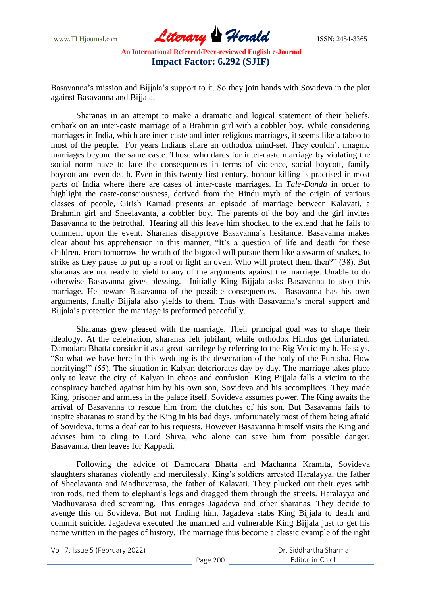www.TLHjournal.com **Literary Herald ISSN: 2454-3365** 

Basavanna's mission and Bijjala's support to it. So they join hands with Sovideva in the plot against Basavanna and Bijjala.

Sharanas in an attempt to make a dramatic and logical statement of their beliefs, embark on an inter-caste marriage of a Brahmin girl with a cobbler boy. While considering marriages in India, which are inter-caste and inter-religious marriages, it seems like a taboo to most of the people. For years Indians share an orthodox mind-set. They couldn"t imagine marriages beyond the same caste. Those who dares for inter-caste marriage by violating the social norm have to face the consequences in terms of violence, social boycott, family boycott and even death. Even in this twenty-first century, honour killing is practised in most parts of India where there are cases of inter-caste marriages. In *Tale-Danda* in order to highlight the caste-consciousness, derived from the Hindu myth of the origin of various classes of people, Girish Karnad presents an episode of marriage between Kalavati, a Brahmin girl and Sheelavanta, a cobbler boy. The parents of the boy and the girl invites Basavanna to the betrothal. Hearing all this leave him shocked to the extend that he fails to comment upon the event. Sharanas disapprove Basavanna"s hesitance. Basavanna makes clear about his apprehension in this manner, "It"s a question of life and death for these children. From tomorrow the wrath of the bigoted will pursue them like a swarm of snakes, to strike as they pause to put up a roof or light an oven. Who will protect them then?" (38). But sharanas are not ready to yield to any of the arguments against the marriage. Unable to do otherwise Basavanna gives blessing. Initially King Bijjala asks Basavanna to stop this marriage. He beware Basavanna of the possible consequences. Basavanna has his own arguments, finally Bijjala also yields to them. Thus with Basavanna"s moral support and Bijjala"s protection the marriage is preformed peacefully.

Sharanas grew pleased with the marriage. Their principal goal was to shape their ideology. At the celebration, sharanas felt jubilant, while orthodox Hindus get infuriated. Damodara Bhatta consider it as a great sacrilege by referring to the Rig Vedic myth. He says, "So what we have here in this wedding is the desecration of the body of the Purusha. How horrifying!" (55). The situation in Kalyan deteriorates day by day. The marriage takes place only to leave the city of Kalyan in chaos and confusion. King Bijjala falls a victim to the conspiracy hatched against him by his own son, Sovideva and his accomplices. They made King, prisoner and armless in the palace itself. Sovideva assumes power. The King awaits the arrival of Basavanna to rescue him from the clutches of his son. But Basavanna fails to inspire sharanas to stand by the King in his bad days, unfortunately most of them being afraid of Sovideva, turns a deaf ear to his requests. However Basavanna himself visits the King and advises him to cling to Lord Shiva, who alone can save him from possible danger. Basavanna, then leaves for Kappadi.

Following the advice of Damodara Bhatta and Machanna Kramita, Sovideva slaughters sharanas violently and mercilessly. King"s soldiers arrested Haralayya, the father of Sheelavanta and Madhuvarasa, the father of Kalavati. They plucked out their eyes with iron rods, tied them to elephant"s legs and dragged them through the streets. Haralayya and Madhuvarasa died screaming. This enrages Jagadeva and other sharanas. They decide to avenge this on Sovideva. But not finding him, Jagadeva stabs King Bijjala to death and commit suicide. Jagadeva executed the unarmed and vulnerable King Bijjala just to get his name written in the pages of history. The marriage thus become a classic example of the right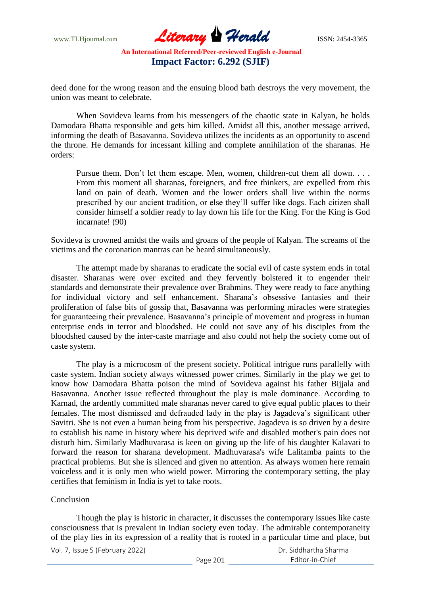www.TLHjournal.com **Literary Herald ISSN: 2454-3365** 

deed done for the wrong reason and the ensuing blood bath destroys the very movement, the union was meant to celebrate.

When Sovideva learns from his messengers of the chaotic state in Kalyan, he holds Damodara Bhatta responsible and gets him killed. Amidst all this, another message arrived, informing the death of Basavanna. Sovideva utilizes the incidents as an opportunity to ascend the throne. He demands for incessant killing and complete annihilation of the sharanas. He orders:

Pursue them. Don't let them escape. Men, women, children-cut them all down. . . . From this moment all sharanas, foreigners, and free thinkers, are expelled from this land on pain of death. Women and the lower orders shall live within the norms prescribed by our ancient tradition, or else they"ll suffer like dogs. Each citizen shall consider himself a soldier ready to lay down his life for the King. For the King is God incarnate! (90)

Sovideva is crowned amidst the wails and groans of the people of Kalyan. The screams of the victims and the coronation mantras can be heard simultaneously.

The attempt made by sharanas to eradicate the social evil of caste system ends in total disaster. Sharanas were over excited and they fervently bolstered it to engender their standards and demonstrate their prevalence over Brahmins. They were ready to face anything for individual victory and self enhancement. Sharana"s obsessive fantasies and their proliferation of false bits of gossip that, Basavanna was performing miracles were strategies for guaranteeing their prevalence. Basavanna"s principle of movement and progress in human enterprise ends in terror and bloodshed. He could not save any of his disciples from the bloodshed caused by the inter-caste marriage and also could not help the society come out of caste system.

The play is a microcosm of the present society. Political intrigue runs parallelly with caste system. Indian society always witnessed power crimes. Similarly in the play we get to know how Damodara Bhatta poison the mind of Sovideva against his father Bijjala and Basavanna. Another issue reflected throughout the play is male dominance. According to Karnad, the ardently committed male sharanas never cared to give equal public places to their females. The most dismissed and defrauded lady in the play is Jagadeva"s significant other Savitri. She is not even a human being from his perspective. Jagadeva is so driven by a desire to establish his name in history where his deprived wife and disabled mother's pain does not disturb him. Similarly Madhuvarasa is keen on giving up the life of his daughter Kalavati to forward the reason for sharana development. Madhuvarasa's wife Lalitamba paints to the practical problems. But she is silenced and given no attention. As always women here remain voiceless and it is only men who wield power. Mirroring the contemporary setting, the play certifies that feminism in India is yet to take roots.

### Conclusion

Though the play is historic in character, it discusses the contemporary issues like caste consciousness that is prevalent in Indian society even today. The admirable contemporaneity of the play lies in its expression of a reality that is rooted in a particular time and place, but